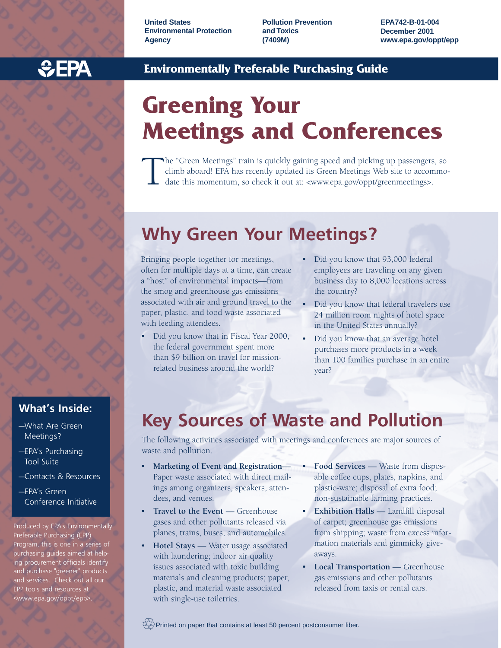**United States Environmental Protection Agency**

**Pollution Prevention and Toxics (7409M)**

**EPA742-B-01-004 December 2001 www.epa.gov/oppt/epp**



## **Environmentally Preferable Purchasing Guide**

# **Greening Your Meetings and Conferences**

The "Green Meetings" train is quickly gaining speed and picking up passengers, so climb aboard! EPA has recently updated its Green Meetings Web site to accommodate this momentum, so check it out at: <www.epa.gov/oppt/greenmeetings>.

# **Why Green Your Meetings?**

Bringing people together for meetings, often for multiple days at a time, can create a "host" of environmental impacts—from the smog and greenhouse gas emissions associated with air and ground travel to the paper, plastic, and food waste associated with feeding attendees.

- Did you know that in Fiscal Year 2000, the federal government spent more than \$9 billion on travel for missionrelated business around the world?
- Did you know that 93,000 federal employees are traveling on any given business day to 8,000 locations across the country?
- Did you know that federal travelers use 24 million room nights of hotel space in the United States annually?
- Did you know that an average hotel purchases more products in a week than 100 families purchase in an entire year?

## **Key Sources of Waste and Pollution**

The following activities associated with meetings and conferences are major sources of waste and pollution.

- **Marketing of Event and Registration** Paper waste associated with direct mailings among organizers, speakers, attendees, and venues.
- **Travel to the Event** Greenhouse gases and other pollutants released via planes, trains, buses, and automobiles.
- **Hotel Stays** Water usage associated with laundering; indoor air quality issues associated with toxic building materials and cleaning products; paper, plastic, and material waste associated with single-use toiletries.
- **Food Services** Waste from disposable coffee cups, plates, napkins, and plastic-ware; disposal of extra food; non-sustainable farming practices.
- **Exhibition Halls** Landfill disposal of carpet; greenhouse gas emissions from shipping; waste from excess information materials and gimmicky giveaways.
- **Local Transportation** Greenhouse gas emissions and other pollutants released from taxis or rental cars.

 $\overline{\langle\hat{\lambda}_i\hat{\lambda}\rangle}$ Printed on paper that contains at least 50 percent postconsumer fiber.

### **What's Inside:**

- —What Are Green Meetings?
- —EPA's Purchasing Tool Suite
- —Contacts & Resources
- —EPA's Green Conference Initiative

Produced by EPA's Environmentally Preferable Purchasing (EPP) Program, this is one in a series of purchasing guides aimed at helping procurement officials identify and purchase "greener" products and services. Check out all our EPP tools and resources at <www.epa.gov/oppt/epp>.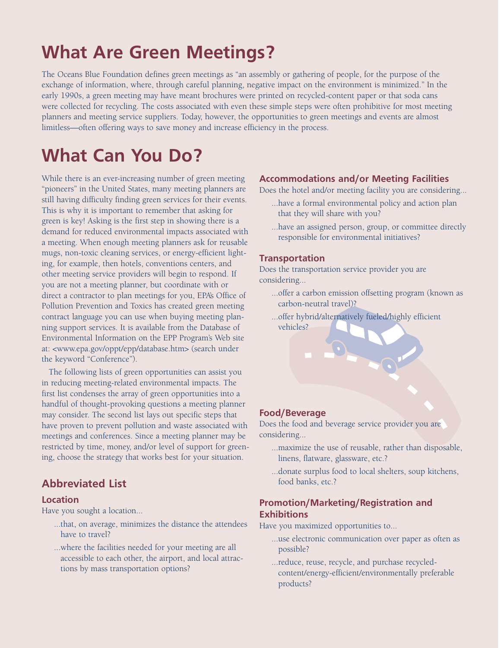# **What Are Green Meetings?**

The Oceans Blue Foundation defines green meetings as "an assembly or gathering of people, for the purpose of the exchange of information, where, through careful planning, negative impact on the environment is minimized." In the early 1990s, a green meeting may have meant brochures were printed on recycled-content paper or that soda cans were collected for recycling. The costs associated with even these simple steps were often prohibitive for most meeting planners and meeting service suppliers. Today, however, the opportunities to green meetings and events are almost limitless—often offering ways to save money and increase efficiency in the process.

# **What Can You Do?**

While there is an ever-increasing number of green meeting "pioneers" in the United States, many meeting planners are still having difficulty finding green services for their events. This is why it is important to remember that asking for green is key! Asking is the first step in showing there is a demand for reduced environmental impacts associated with a meeting. When enough meeting planners ask for reusable mugs, non-toxic cleaning services, or energy-efficient lighting, for example, then hotels, conventions centers, and other meeting service providers will begin to respond. If you are not a meeting planner, but coordinate with or direct a contractor to plan meetings for you, EPA's Office of Pollution Prevention and Toxics has created green meeting contract language you can use when buying meeting planning support services. It is available from the Database of Environmental Information on the EPP Program's Web site at: <www.epa.gov/oppt/epp/database.htm> (search under the keyword "Conference").

The following lists of green opportunities can assist you in reducing meeting-related environmental impacts. The first list condenses the array of green opportunities into a handful of thought-provoking questions a meeting planner may consider. The second list lays out specific steps that have proven to prevent pollution and waste associated with meetings and conferences. Since a meeting planner may be restricted by time, money, and/or level of support for greening, choose the strategy that works best for your situation.

### **Abbreviated List**

### **Location**

Have you sought a location...

- ...that, on average, minimizes the distance the attendees have to travel?
- ...where the facilities needed for your meeting are all accessible to each other, the airport, and local attractions by mass transportation options?

### **Accommodations and/or Meeting Facilities**

Does the hotel and/or meeting facility you are considering...

- ...have a formal environmental policy and action plan that they will share with you?
- ...have an assigned person, group, or committee directly responsible for environmental initiatives?

### **Transportation**

Does the transportation service provider you are considering...

- ...offer a carbon emission offsetting program (known as carbon-neutral travel)?
- ...offer hybrid/alternatively fueled/highly efficient vehicles?

### **Food/Beverage**

Does the food and beverage service provider you are considering...

- ...maximize the use of reusable, rather than disposable, linens, flatware, glassware, etc.?
- ...donate surplus food to local shelters, soup kitchens, food banks, etc.?

### **Promotion/Marketing/Registration and Exhibitions**

Have you maximized opportunities to...

- ...use electronic communication over paper as often as possible?
- ...reduce, reuse, recycle, and purchase recycledcontent/energy-efficient/environmentally preferable products?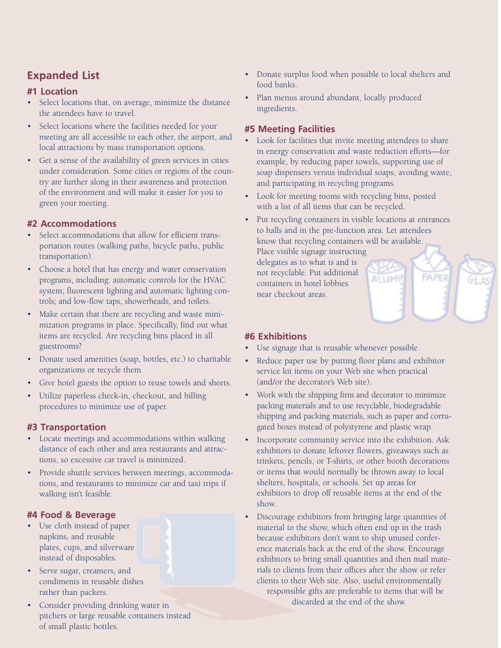## **Expanded List**

### **#1 Location**

- Select locations that, on average, minimize the distance the attendees have to travel.
- Select locations where the facilities needed for your meeting are all accessible to each other, the airport, and local attractions by mass transportation options.
- Get a sense of the availability of green services in cities under consideration. Some cities or regions of the country are further along in their awareness and protection of the environment and will make it easier for you to green your meeting.

### **#2 Accommodations**

- Select accommodations that allow for efficient transportation routes (walking paths, bicycle paths, public transportation).
- Choose a hotel that has energy and water conservation programs, including: automatic controls for the HVAC system; fluorescent lighting and automatic lighting controls; and low-flow taps, showerheads, and toilets.
- Make certain that there are recycling and waste minimization programs in place. Specifically, find out what items are recycled. Are recycling bins placed in all guestrooms?
- Donate used amenities (soap, bottles, etc.) to charitable organizations or recycle them.
- Give hotel guests the option to reuse towels and sheets.
- Utilize paperless check-in, checkout, and billing procedures to minimize use of paper.

### **#3 Transportation**

- Locate meetings and accommodations within walking distance of each other and area restaurants and attractions, so excessive car travel is minimized.
- Provide shuttle services between meetings, accommodations, and restaurants to minimize car and taxi trips if walking isn't feasible.

### **#4 Food & Beverage**

• Use cloth instead of paper napkins, and reusable plates, cups, and silverware instead of disposables.



- Serve sugar, creamers, and condiments in reusable dishes rather than packets.
- Consider providing drinking water in pitchers or large reusable containers instead of small plastic bottles.
- Donate surplus food when possible to local shelters and food banks.
- Plan menus around abundant, locally produced ingredients.

### **#5 Meeting Facilities**

- Look for facilities that invite meeting attendees to share in energy conservation and waste reduction efforts—for example, by reducing paper towels, supporting use of soap dispensers versus individual soaps, avoiding waste, and participating in recycling programs.
- Look for meeting rooms with recycling bins, posted with a list of all items that can be recycled.
- Put recycling containers in visible locations at entrances to halls and in the pre-function area. Let attendees know that recycling containers will be available. Place visible signage instructing

ALUMIG

PAPER

delegates as to what is and is not recyclable. Put additional containers in hotel lobbies near checkout areas.

### **#6 Exhibitions**

- Use signage that is reusable whenever possible.
- Reduce paper use by putting floor plans and exhibitor service kit items on your Web site when practical (and/or the decorator's Web site).
- Work with the shipping firm and decorator to minimize packing materials and to use recyclable, biodegradable shipping and packing materials, such as paper and corrugated boxes instead of polystyrene and plastic wrap.
- Incorporate community service into the exhibition. Ask exhibitors to donate leftover flowers, giveaways such as trinkets, pencils, or T-shirts, or other booth decorations or items that would normally be thrown away to local shelters, hospitals, or schools. Set up areas for exhibitors to drop off reusable items at the end of the show.
- Discourage exhibitors from bringing large quantities of material to the show, which often end up in the trash because exhibitors don't want to ship unused conference materials back at the end of the show. Encourage exhibitors to bring small quantities and then mail materials to clients from their offices after the show or refer clients to their Web site. Also, useful environmentally

responsible gifts are preferable to items that will be discarded at the end of the show.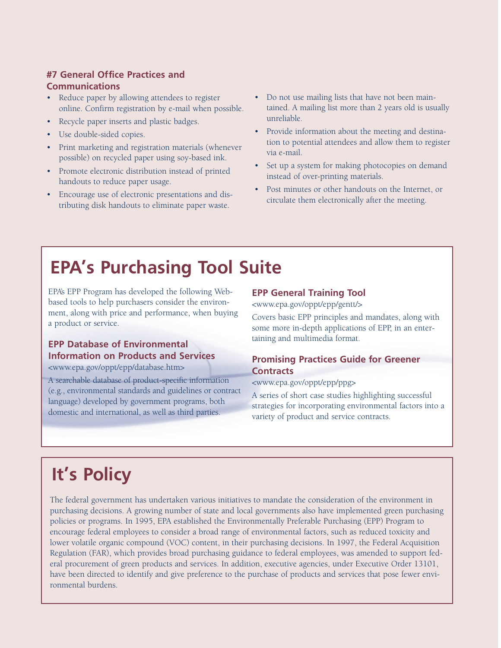### **#7 General Office Practices and Communications**

- Reduce paper by allowing attendees to register online. Confirm registration by e-mail when possible.
- Recycle paper inserts and plastic badges.
- Use double-sided copies.
- Print marketing and registration materials (whenever possible) on recycled paper using soy-based ink.
- Promote electronic distribution instead of printed handouts to reduce paper usage.
- Encourage use of electronic presentations and distributing disk handouts to eliminate paper waste.
- Do not use mailing lists that have not been maintained. A mailing list more than 2 years old is usually unreliable.
- Provide information about the meeting and destination to potential attendees and allow them to register via e-mail.
- Set up a system for making photocopies on demand instead of over-printing materials.
- Post minutes or other handouts on the Internet, or circulate them electronically after the meeting.

# **EPA's Purchasing Tool Suite**

EPA's EPP Program has developed the following Webbased tools to help purchasers consider the environment, along with price and performance, when buying a product or service.

### **EPP Database of Environmental Information on Products and Services**

<www.epa.gov/oppt/epp/database.htm>

A searchable database of product-specific information (e.g., environmental standards and guidelines or contract language) developed by government programs, both domestic and international, as well as third parties.

### **EPP General Training Tool**

<www.epa.gov/oppt/epp/gentt/>

Covers basic EPP principles and mandates, along with some more in-depth applications of EPP, in an entertaining and multimedia format.

### **Promising Practices Guide for Greener Contracts**

<www.epa.gov/oppt/epp/ppg>

A series of short case studies highlighting successful strategies for incorporating environmental factors into a variety of product and service contracts.

# **It's Policy**

The federal government has undertaken various initiatives to mandate the consideration of the environment in purchasing decisions. A growing number of state and local governments also have implemented green purchasing policies or programs. In 1995, EPA established the Environmentally Preferable Purchasing (EPP) Program to encourage federal employees to consider a broad range of environmental factors, such as reduced toxicity and lower volatile organic compound (VOC) content, in their purchasing decisions. In 1997, the Federal Acquisition Regulation (FAR), which provides broad purchasing guidance to federal employees, was amended to support federal procurement of green products and services. In addition, executive agencies, under Executive Order 13101, have been directed to identify and give preference to the purchase of products and services that pose fewer environmental burdens.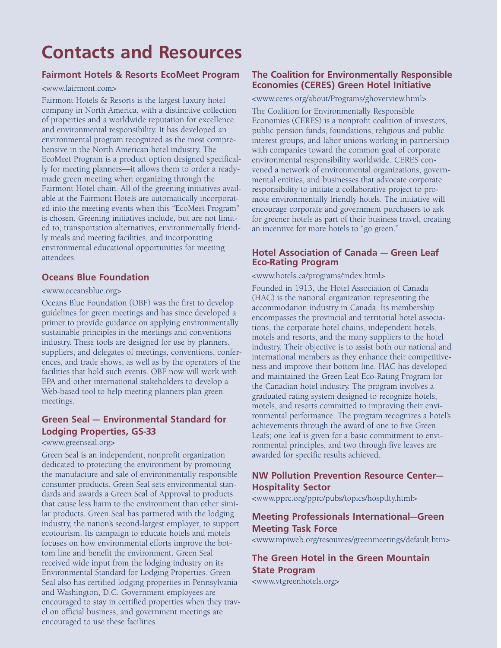# **Contacts and Resources**

### **Fairmont Hotels & Resorts EcoMeet Program**

#### <www.fairmont.com>

Fairmont Hotels & Resorts is the largest luxury hotel company in North America, with a distinctive collection of properties and a worldwide reputation for excellence and environmental responsibility. It has developed an environmental program recognized as the most comprehensive in the North American hotel industry. The EcoMeet Program is a product option designed specifically for meeting planners—it allows them to order a readymade green meeting when organizing through the Fairmont Hotel chain. All of the greening initiatives available at the Fairmont Hotels are automatically incorporated into the meeting events when this "EcoMeet Program" is chosen. Greening initiatives include, but are not limited to, transportation alternatives, environmentally friendly meals and meeting facilities, and incorporating environmental educational opportunities for meeting attendees.

### **Oceans Blue Foundation**

### <www.oceansblue.org>

Oceans Blue Foundation (OBF) was the first to develop guidelines for green meetings and has since developed a primer to provide guidance on applying environmentally sustainable principles in the meetings and conventions industry. These tools are designed for use by planners, suppliers, and delegates of meetings, conventions, conferences, and trade shows, as well as by the operators of the facilities that hold such events. OBF now will work with EPA and other international stakeholders to develop a Web-based tool to help meeting planners plan green meetings.

### **Green Seal — Environmental Standard for Lodging Properties, GS-33**

### <www.greenseal.org>

Green Seal is an independent, nonprofit organization dedicated to protecting the environment by promoting the manufacture and sale of environmentally responsible consumer products. Green Seal sets environmental standards and awards a Green Seal of Approval to products that cause less harm to the environment than other similar products. Green Seal has partnered with the lodging industry, the nation's second-largest employer, to support ecotourism. Its campaign to educate hotels and motels focuses on how environmental efforts improve the bottom line and benefit the environment. Green Seal received wide input from the lodging industry on its Environmental Standard for Lodging Properties. Green Seal also has certified lodging properties in Pennsylvania and Washington, D.C. Government employees are encouraged to stay in certified properties when they travel on official business, and government meetings are encouraged to use these facilities.

### **The Coalition for Environmentally Responsible Economies (CERES) Green Hotel Initiative**

<www.ceres.org/about/Programs/ghoverview.html>

The Coalition for Environmentally Responsible Economies (CERES) is a nonprofit coalition of investors, public pension funds, foundations, religious and public interest groups, and labor unions working in partnership with companies toward the common goal of corporate environmental responsibility worldwide. CERES convened a network of environmental organizations, governmental entities, and businesses that advocate corporate responsibility to initiate a collaborative project to promote environmentally friendly hotels. The initiative will encourage corporate and government purchasers to ask for greener hotels as part of their business travel, creating an incentive for more hotels to "go green."

### **Hotel Association of Canada — Green Leaf Eco-Rating Program**

<www.hotels.ca/programs/index.html>

Founded in 1913, the Hotel Association of Canada (HAC) is the national organization representing the accommodation industry in Canada. Its membership encompasses the provincial and territorial hotel associations, the corporate hotel chains, independent hotels, motels and resorts, and the many suppliers to the hotel industry. Their objective is to assist both our national and international members as they enhance their competitiveness and improve their bottom line. HAC has developed and maintained the Green Leaf Eco-Rating Program for the Canadian hotel industry. The program involves a graduated rating system designed to recognize hotels, motels, and resorts committed to improving their environmental performance. The program recognizes a hotel's achievements through the award of one to five Green Leafs; one leaf is given for a basic commitment to environmental principles, and two through five leaves are awarded for specific results achieved.

### **NW Pollution Prevention Resource Center— Hospitality Sector**

<www.pprc.org/pprc/pubs/topics/hosptlty.html>

### **Meeting Professionals International—Green Meeting Task Force**

<www.mpiweb.org/resources/greenmeetings/default.htm>

### **The Green Hotel in the Green Mountain State Program**

<www.vtgreenhotels.org>